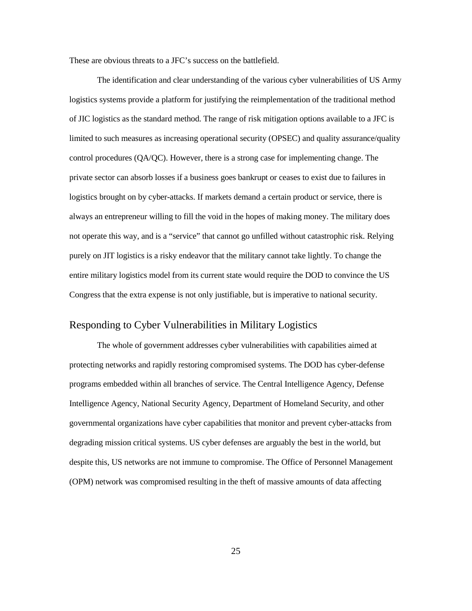and removed the list of logistics systems from the appendix. This is not to imply that these systems no longer exist, but is rather a reflection of the fact that the Army and the DOD, as a whole, were and still are in the process of migrating these legacy systems under the umbrella of GCSS-Army. information systems and automated capabilities such as the Standard Army Retail Supply System (SARSS), the Standard Army Maintenance System-Enhanced (SAMS-E), Unit Level Logistics alone. Joint doctrine acknowledges the challenges this poses in trying to safeguard these systems, especially when it comes to logistics. *Sustainment* lists various computer and database systems that perform various functions that enable military logistics to take place behind the scenes.<sup>71</sup> In 2012, ADRP 4-0 replaced FM 4-0 By definition, GCSS-Army was designed to replace a "variety of legacy tactical-level logistics System-Aviation (Enhanced) (ULLS-AE), and the Property Book Unit Supply Enhanced (PBUSE)."[72](#page-33-1) These legacy logistics systems are still in use as of 2017. Furthermore, this list is not a comprehensive list of legacy systems currently in use by the DOD within the field of logistics

 military logistics. JP 3-12R's section on sustainment, mentions that JFCs must not only identify There are inherent challenges with modernizing integrated systems, especially within critical cyberspace assets, but must also detect system redundancy, "including non-cyberspace alternatives, and actively exercise continuity of operations plans to respond to outages or adversary actions that degrade or compromise cyberspace access or reliability."<sup>73</sup> JP 3-12R also addresses the challenges of sustainment systems upgrades and states:

 Many critical legacy systems are not built to be easily modified or patched. As a  $(DODIN).<sup>74</sup>$ result, many of the risks incurred across DOD are introduced via unpatched (and effectively unpatchable) systems on the Department of Defense Information Network

<span id="page-33-3"></span><span id="page-33-2"></span><span id="page-33-1"></span><span id="page-33-0"></span>-

 71 Field Manual (FM) 4-0, *Sustainment* (Washington, DC: Government Printing Office, 2009), A-3.  $72$  Ibid.

<sup>73</sup> JP 3-12R, II-11.

 74 Ibid.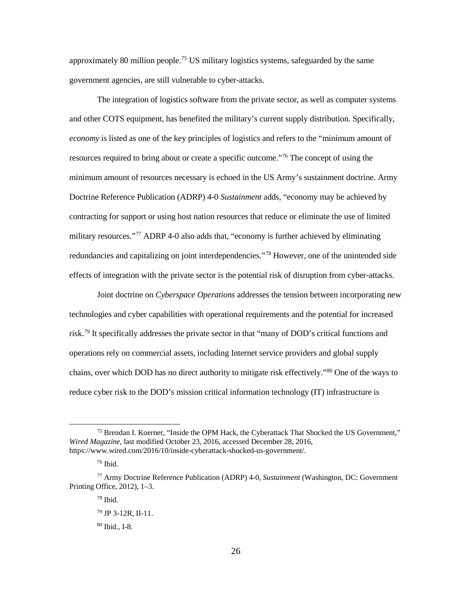These are obvious threats to a JFC's success on the battlefield.

 The identification and clear understanding of the various cyber vulnerabilities of US Army logistics systems provide a platform for justifying the reimplementation of the traditional method limited to such measures as increasing operational security (OPSEC) and quality assurance/quality control procedures (QA/QC). However, there is a strong case for implementing change. The logistics brought on by cyber-attacks. If markets demand a certain product or service, there is always an entrepreneur willing to fill the void in the hopes of making money. The military does not operate this way, and is a "service" that cannot go unfilled without catastrophic risk. Relying entire military logistics model from its current state would require the DOD to convince the US Congress that the extra expense is not only justifiable, but is imperative to national security. of JIC logistics as the standard method. The range of risk mitigation options available to a JFC is private sector can absorb losses if a business goes bankrupt or ceases to exist due to failures in purely on JIT logistics is a risky endeavor that the military cannot take lightly. To change the

## Responding to Cyber Vulnerabilities in Military Logistics

 protecting networks and rapidly restoring compromised systems. The DOD has cyber-defense programs embedded within all branches of service. The Central Intelligence Agency, Defense (OPM) network was compromised resulting in the theft of massive amounts of data affecting The whole of government addresses cyber vulnerabilities with capabilities aimed at Intelligence Agency, National Security Agency, Department of Homeland Security, and other governmental organizations have cyber capabilities that monitor and prevent cyber-attacks from degrading mission critical systems. US cyber defenses are arguably the best in the world, but despite this, US networks are not immune to compromise. The Office of Personnel Management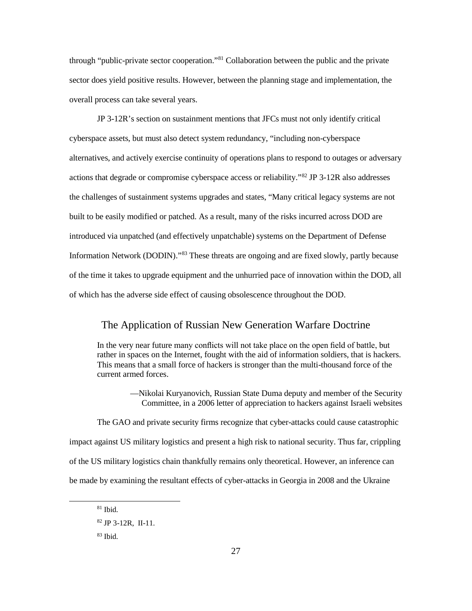approximately 80 million people.<sup>75</sup> US military logistics systems, safeguarded by the same government agencies, are still vulnerable to cyber-attacks.

 minimum amount of resources necessary is echoed in the US Army's sustainment doctrine. Army contracting for support or using host nation resources that reduce or eliminate the use of limited effects of integration with the private sector is the potential risk of disruption from cyber-attacks. The integration of logistics software from the private sector, as well as computer systems and other COTS equipment, has benefited the military's current supply distribution. Specifically, *economy* is listed as one of the key principles of logistics and refers to the "minimum amount of resources required to bring about or create a specific outcome."<sup>76</sup> The concept of using the Doctrine Reference Publication (ADRP) 4-0 *Sustainment* adds, "economy may be achieved by military resources."<sup>[77](#page-35-2)</sup> ADRP 4-0 also adds that, "economy is further achieved by eliminating redundancies and capitalizing on joint interdependencies."<sup>78</sup> However, one of the unintended side

 Joint doctrine on *Cyberspace Operations* addresses the tension between incorporating new technologies and cyber capabilities with operational requirements and the potential for increased chains, over which DOD has no direct authority to mitigate risk effectively."<sup>[80](#page-35-5)</sup> One of the ways to risk.[79](#page-35-4) It specifically addresses the private sector in that "many of DOD's critical functions and operations rely on commercial assets, including Internet service providers and global supply reduce cyber risk to the DOD's mission critical information technology (IT) infrastructure is

 $\ddot{\phantom{a}}$ 

<span id="page-35-0"></span><sup>&</sup>lt;sup>75</sup> Brendan I. Koerner, "Inside the OPM Hack, the Cyberattack That Shocked the US Government," *Wired Magazine*, last modified October 23, 2016, accessed December 28, 2016, https://www.wired.com/2016/10/inside-cyberattack-shocked-us-government/.

 76 Ibid.

<span id="page-35-5"></span><span id="page-35-4"></span><span id="page-35-3"></span><span id="page-35-2"></span><span id="page-35-1"></span><sup>77</sup> Army Doctrine Reference Publication (ADRP) 4-0, *Sustainment* (Washington, DC: Government Printing Office, 2012), 1–3.

 78 Ibid.

<sup>79</sup> JP 3-12R, II-11.

 80 Ibid., I-8.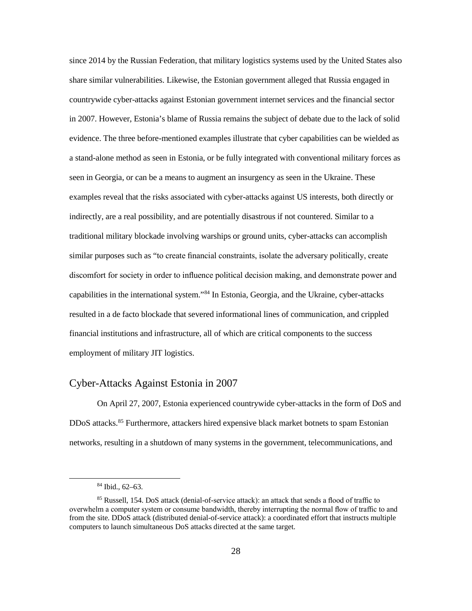through "public-private sector cooperation."<sup>[81](#page-36-0)</sup> Collaboration between the public and the private sector does yield positive results. However, between the planning stage and implementation, the overall process can take several years.

 built to be easily modified or patched. As a result, many of the risks incurred across DOD are introduced via unpatched (and effectively unpatchable) systems on the Department of Defense of the time it takes to upgrade equipment and the unhurried pace of innovation within the DOD, all of which has the adverse side effect of causing obsolescence throughout the DOD. JP 3-12R's section on sustainment mentions that JFCs must not only identify critical cyberspace assets, but must also detect system redundancy, "including non-cyberspace alternatives, and actively exercise continuity of operations plans to respond to outages or adversary actions that degrade or compromise cyberspace access or reliability." $\frac{82}{9}$  JP 3-12R also addresses the challenges of sustainment systems upgrades and states, "Many critical legacy systems are not Information Network (DODIN)."<sup>[83](#page-36-2)</sup> These threats are ongoing and are fixed slowly, partly because

# The Application of Russian New Generation Warfare Doctrine

 In the very near future many conflicts will not take place on the open field of battle, but rather in spaces on the Internet, fought with the aid of information soldiers, that is hackers. This means that a small force of hackers is stronger than the multi-thousand force of the current armed forces.

> —Nikolai Kuryanovich, Russian State Duma deputy and member of the Security Committee, in a 2006 letter of appreciation to hackers against Israeli websites

 impact against US military logistics and present a high risk to national security. Thus far, crippling of the US military logistics chain thankfully remains only theoretical. However, an inference can be made by examining the resultant effects of cyber-attacks in Georgia in 2008 and the Ukraine The GAO and private security firms recognize that cyber-attacks could cause catastrophic

<span id="page-36-2"></span><span id="page-36-1"></span><span id="page-36-0"></span>-

 81 Ibid.

 82 JP 3-12R, II-11.

 83 Ibid.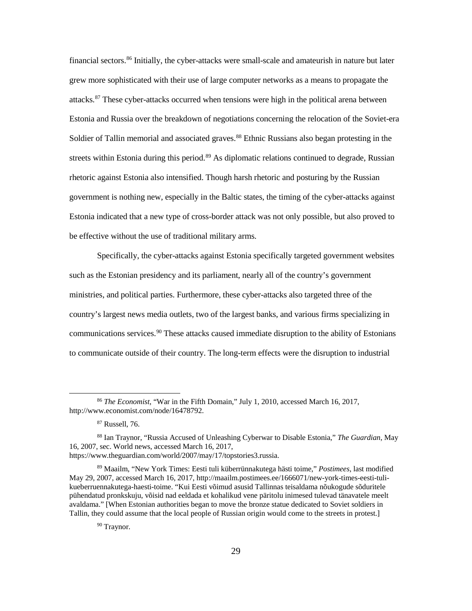since 2014 by the Russian Federation, that military logistics systems used by the United States also countrywide cyber-attacks against Estonian government internet services and the financial sector in 2007. However, Estonia's blame of Russia remains the subject of debate due to the lack of solid seen in Georgia, or can be a means to augment an insurgency as seen in the Ukraine. These examples reveal that the risks associated with cyber-attacks against US interests, both directly or indirectly, are a real possibility, and are potentially disastrous if not countered. Similar to a similar purposes such as "to create financial constraints, isolate the adversary politically, create financial institutions and infrastructure, all of which are critical components to the success share similar vulnerabilities. Likewise, the Estonian government alleged that Russia engaged in evidence. The three before-mentioned examples illustrate that cyber capabilities can be wielded as a stand-alone method as seen in Estonia, or be fully integrated with conventional military forces as traditional military blockade involving warships or ground units, cyber-attacks can accomplish discomfort for society in order to influence political decision making, and demonstrate power and capabilities in the international system."[84](#page-37-0) In Estonia, Georgia, and the Ukraine, cyber-attacks resulted in a de facto blockade that severed informational lines of communication, and crippled employment of military JIT logistics.

## Cyber-Attacks Against Estonia in 2007

 On April 27, 2007, Estonia experienced countrywide cyber-attacks in the form of DoS and DDoS attacks. [85](#page-37-1) Furthermore, attackers hired expensive black market botnets to spam Estonian networks, resulting in a shutdown of many systems in the government, telecommunications, and

<span id="page-37-0"></span> $\ddot{\phantom{a}}$ 

<sup>84</sup> Ibid., 62–63.

<span id="page-37-1"></span><sup>&</sup>lt;sup>85</sup> Russell, 154. DoS attack (denial-of-service attack): an attack that sends a flood of traffic to overwhelm a computer system or consume bandwidth, thereby interrupting the normal flow of traffic to and from the site. DDoS attack (distributed denial-of-service attack): a coordinated effort that instructs multiple computers to launch simultaneous DoS attacks directed at the same target.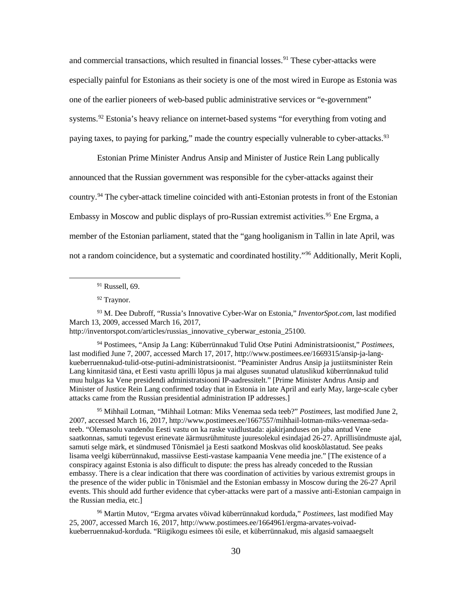Soldier of Tallin memorial and associated graves.<sup>88</sup> Ethnic Russians also began protesting in the streets within Estonia during this period.<sup>89</sup> As diplomatic relations continued to degrade, Russian rhetoric against Estonia also intensified. Though harsh rhetoric and posturing by the Russian Estonia indicated that a new type of cross-border attack was not only possible, but also proved to financial sectors. [86](#page-38-0) Initially, the cyber-attacks were small-scale and amateurish in nature but later grew more sophisticated with their use of large computer networks as a means to propagate the attacks.<sup>[87](#page-38-1)</sup> These cyber-attacks occurred when tensions were high in the political arena between Estonia and Russia over the breakdown of negotiations concerning the relocation of the Soviet-era government is nothing new, especially in the Baltic states, the timing of the cyber-attacks against be effective without the use of traditional military arms.

 to communicate outside of their country. The long-term effects were the disruption to industrial Specifically, the cyber-attacks against Estonia specifically targeted government websites such as the Estonian presidency and its parliament, nearly all of the country's government ministries, and political parties. Furthermore, these cyber-attacks also targeted three of the country's largest news media outlets, two of the largest banks, and various firms specializing in communications services.<sup>90</sup> These attacks caused immediate disruption to the ability of Estonians

 $\overline{a}$ 

<span id="page-38-0"></span> <sup>86</sup>*The Economist*, "War in the Fifth Domain," July 1, 2010, accessed March 16, 2017, http://www.economist.com/node/16478792.

 87 Russell, 76.

<span id="page-38-2"></span><span id="page-38-1"></span> 88 Ian Traynor, "Russia Accused of Unleashing Cyberwar to Disable Estonia," *The Guardian*, May 16, 2007, sec. World news, accessed March 16, 2017, https://www.theguardian.com/world/2007/may/17/topstories3.russia.

<span id="page-38-4"></span><span id="page-38-3"></span> May 29, 2007, accessed March 16, 2017, http://maailm.postimees.ee/1666071/new-york-times-eesti-tuli- pühendatud pronkskuju, võisid nad eeldada et kohalikud vene päritolu inimesed tulevad tänavatele meelt avaldama." [When Estonian authorities began to move the bronze statue dedicated to Soviet soldiers in 89 Maailm, "New York Times: Eesti tuli küberrünnakutega hästi toime," *Postimees*, last modified kueberruennakutega-haesti-toime. "Kui Eesti võimud asusid Tallinnas teisaldama nõukogude sõduritele Tallin, they could assume that the local people of Russian origin would come to the streets in protest.]

<sup>&</sup>lt;sup>90</sup> Traynor.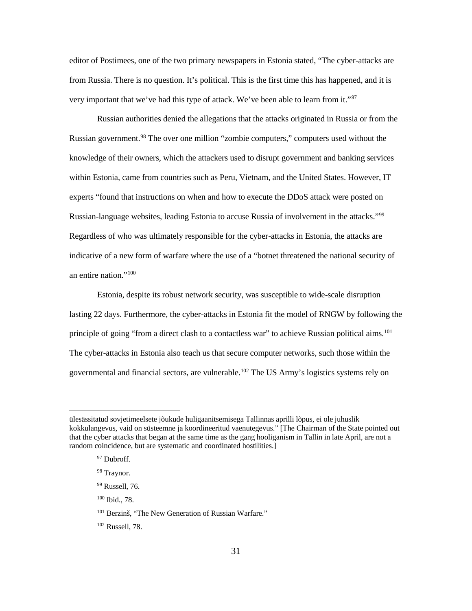especially painful for Estonians as their society is one of the most wired in Europe as Estonia was one of the earlier pioneers of web-based public administrative services or "e-government" and commercial transactions, which resulted in financial losses.<sup>91</sup> These cyber-attacks were systems.<sup>92</sup> Estonia's heavy reliance on internet-based systems "for everything from voting and paying taxes, to paying for parking," made the country especially vulnerable to cyber-attacks.<sup>93</sup>

country.<sup>94</sup> The cyber-attack timeline coincided with anti-Estonian protests in front of the Estonian Embassy in Moscow and public displays of pro-Russian extremist activities. [95](#page-39-4) Ene Ergma, a member of the Estonian parliament, stated that the "gang hooliganism in Tallin in late April, was not a random coincidence, but a systematic and coordinated hostility."<sup>[96](#page-39-5)</sup> Additionally, Merit Kopli, Estonian Prime Minister Andrus Ansip and Minister of Justice Rein Lang publically announced that the Russian government was responsible for the cyber-attacks against their

 $91$  Russell, 69.

<sup>92</sup> Traynor.

<span id="page-39-0"></span> $\overline{a}$ 

<span id="page-39-2"></span><span id="page-39-1"></span> 93 M. Dee Dubroff, "Russia's Innovative Cyber-War on Estonia," *InventorSpot.com*, last modified March 13, 2009, accessed March 16, 2017,

http://inventorspot.com/articles/russias\_innovative\_cyberwar\_estonia\_25100.

<span id="page-39-3"></span> kueberruennakud-tulid-otse-putini-administratsioonist. "Peaminister Andrus Ansip ja justiitsminister Rein Lang kinnitasid täna, et Eesti vastu aprilli lõpus ja mai alguses suunatud ulatuslikud küberrünnakud tulid attacks came from the Russian presidential administration IP addresses.] 94 Postimees, "Ansip Ja Lang: Küberrünnakud Tulid Otse Putini Administratsioonist," *Postimees*, last modified June 7, 2007, accessed March 17, 2017, http://www.postimees.ee/1669315/ansip-ja-langmuu hulgas ka Vene presidendi administratsiooni IP-aadressitelt." [Prime Minister Andrus Ansip and Minister of Justice Rein Lang confirmed today that in Estonia in late April and early May, large-scale cyber

<span id="page-39-4"></span> teeb. "Olemasolu vandenõu Eesti vastu on ka raske vaidlustada: ajakirjanduses on juba antud Vene saatkonnas, samuti tegevust erinevate äärmusrühmituste juuresolekul esindajad 26-27. Aprillisündmuste ajal, samuti selge märk, et sündmused Tõnismäel ja Eesti saatkond Moskvas olid kooskõlastatud. See peaks conspiracy against Estonia is also difficult to dispute: the press has already conceded to the Russian embassy. There is a clear indication that there was coordination of activities by various extremist groups in 95 Mihhail Lotman, "Mihhail Lotman: Miks Venemaa seda teeb?" *Postimees*, last modified June 2, 2007, accessed March 16, 2017, http://www.postimees.ee/1667557/mihhail-lotman-miks-venemaa-sedalisama veelgi küberrünnakud, massiivse Eesti-vastase kampaania Vene meedia jne." [The existence of a the presence of the wider public in Tõnismäel and the Estonian embassy in Moscow during the 26-27 April events. This should add further evidence that cyber-attacks were part of a massive anti-Estonian campaign in the Russian media, etc.]

<span id="page-39-5"></span> 96 Martin Mutov, "Ergma arvates võivad küberrünnakud korduda," *Postimees*, last modified May 25, 2007, accessed March 16, 2017, http://www.postimees.ee/1664961/ergma-arvates-voivadkueberruennakud-korduda. "Riigikogu esimees tõi esile, et küberrünnakud, mis algasid samaaegselt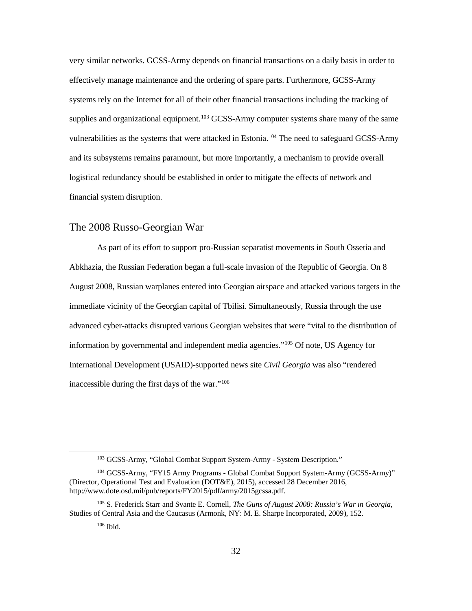very important that we've had this type of attack. We've been able to learn from it."<sup>[97](#page-40-0)</sup> editor of Postimees, one of the two primary newspapers in Estonia stated, "The cyber-attacks are from Russia. There is no question. It's political. This is the first time this has happened, and it is

 Russian authorities denied the allegations that the attacks originated in Russia or from the knowledge of their owners, which the attackers used to disrupt government and banking services within Estonia, came from countries such as Peru, Vietnam, and the United States. However, IT Regardless of who was ultimately responsible for the cyber-attacks in Estonia, the attacks are indicative of a new form of warfare where the use of a "botnet threatened the national security of Russian government.<sup>98</sup> The over one million "zombie computers," computers used without the experts "found that instructions on when and how to execute the DDoS attack were posted on Russian-language websites, leading Estonia to accuse Russia of involvement in the attacks."[99](#page-40-2)  an entire nation."[100](#page-40-3)

 The cyber-attacks in Estonia also teach us that secure computer networks, such those within the governmental and financial sectors, are vulnerable.<sup>102</sup> The US Army's logistics systems rely on Estonia, despite its robust network security, was susceptible to wide-scale disruption lasting 22 days. Furthermore, the cyber-attacks in Estonia fit the model of RNGW by following the principle of going "from a direct clash to a contactless war" to achieve Russian political aims.<sup>[101](#page-40-4)</sup>

 $\overline{a}$ 

<span id="page-40-3"></span> $100$  Ibid., 78.

<span id="page-40-2"></span><span id="page-40-1"></span><span id="page-40-0"></span> ülesässitatud sovjetimeelsete jõukude huligaanitsemisega Tallinnas aprilli lõpus, ei ole juhuslik that the cyber attacks that began at the same time as the gang hooliganism in Tallin in late April, are not a kokkulangevus, vaid on süsteemne ja koordineeritud vaenutegevus." [The Chairman of the State pointed out random coincidence, but are systematic and coordinated hostilities.]

 97 Dubroff.

<sup>98</sup> Traynor.

 99 Russell, 76.

<span id="page-40-4"></span><sup>&</sup>lt;sup>101</sup> Berzinš, "The New Generation of Russian Warfare."

<span id="page-40-5"></span> $102$  Russell, 78.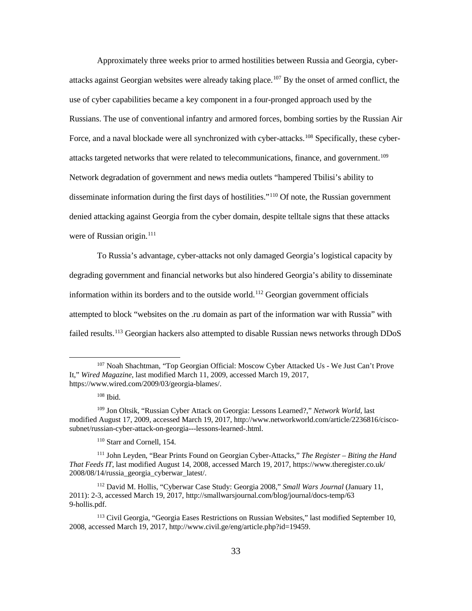effectively manage maintenance and the ordering of spare parts. Furthermore, GCSS-Army systems rely on the Internet for all of their other financial transactions including the tracking of supplies and organizational equipment.<sup>[103](#page-41-0)</sup> GCSS-Army computer systems share many of the same vulnerabilities as the systems that were attacked in Estonia.<sup>[104](#page-41-1)</sup> The need to safeguard GCSS-Army very similar networks. GCSS-Army depends on financial transactions on a daily basis in order to and its subsystems remains paramount, but more importantly, a mechanism to provide overall logistical redundancy should be established in order to mitigate the effects of network and financial system disruption.

## The 2008 Russo-Georgian War

 As part of its effort to support pro-Russian separatist movements in South Ossetia and Abkhazia, the Russian Federation began a full-scale invasion of the Republic of Georgia. On 8 information by governmental and independent media agencies.["105](#page-41-2) Of note, US Agency for August 2008, Russian warplanes entered into Georgian airspace and attacked various targets in the immediate vicinity of the Georgian capital of Tbilisi. Simultaneously, Russia through the use advanced cyber-attacks disrupted various Georgian websites that were "vital to the distribution of International Development (USAID)-supported news site *Civil Georgia* was also "rendered inaccessible during the first days of the war."[106](#page-41-3) 

<span id="page-41-0"></span><u>.</u>

<sup>103</sup> GCSS-Army, "Global Combat Support System-Army - System Description."

<span id="page-41-1"></span><sup>104</sup> GCSS-Army, "FY15 Army Programs - Global Combat Support System-Army (GCSS-Army)" (Director, Operational Test and Evaluation (DOT&E), 2015), accessed 28 December 2016, http://www.dote.osd.mil/pub/reports/FY2015/pdf/army/2015gcssa.pdf.

<span id="page-41-3"></span><span id="page-41-2"></span> 105 S. Frederick Starr and Svante E. Cornell, *The Guns of August 2008: Russia's War in Georgia*, Studies of Central Asia and the Caucasus (Armonk, NY: M. E. Sharpe Incorporated, 2009), 152.

 106 Ibid.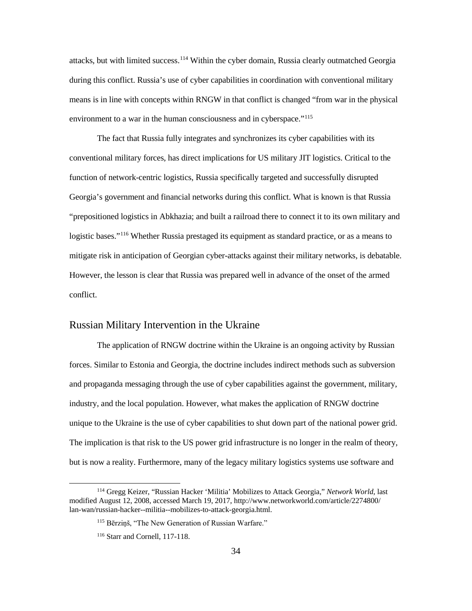Approximately three weeks prior to armed hostilities between Russia and Georgia, cyber- use of cyber capabilities became a key component in a four-pronged approach used by the attacks targeted networks that were related to telecommunications, finance, and government.<sup>[109](#page-42-2)</sup> Network degradation of government and news media outlets "hampered Tbilisi's ability to attacks against Georgian websites were already taking place.[107](#page-42-0) By the onset of armed conflict, the Russians. The use of conventional infantry and armored forces, bombing sorties by the Russian Air Force, and a naval blockade were all synchronized with cyber-attacks.<sup>[108](#page-42-1)</sup> Specifically, these cyberdisseminate information during the first days of hostilities."<sup>110</sup> Of note, the Russian government denied attacking against Georgia from the cyber domain, despite telltale signs that these attacks were of Russian origin. $111$ 

To Russia's advantage, cyber-attacks not only damaged Georgia's logistical capacity by degrading government and financial networks but also hindered Georgia's ability to disseminate information within its borders and to the outside world.<sup>112</sup> Georgian government officials attempted to block "websites on the .ru domain as part of the information war with Russia" with failed results.<sup>[113](#page-42-6)</sup> Georgian hackers also attempted to disable Russian news networks through DDoS

<u>.</u>

110 Starr and Cornell, 154.

<span id="page-42-0"></span> 107 Noah Shachtman, "Top Georgian Official: Moscow Cyber Attacked Us - We Just Can't Prove It," *Wired Magazine*, last modified March 11, 2009, accessed March 19, 2017, https://www.wired.com/2009/03/georgia-blames/.

 108 Ibid.

<span id="page-42-2"></span><span id="page-42-1"></span><sup>109</sup> Jon Oltsik, "Russian Cyber Attack on Georgia: Lessons Learned?," *Network World*, last modified August 17, 2009, accessed March 19, 2017, http://www.networkworld.com/article/2236816/ciscosubnet/russian-cyber-attack-on-georgia---lessons-learned-.html.

<span id="page-42-4"></span><span id="page-42-3"></span><sup>111</sup> John Leyden, "Bear Prints Found on Georgian Cyber-Attacks," *The Register – Biting the Hand That Feeds IT*, last modified August 14, 2008, accessed March 19, 2017, https://www.theregister.co.uk/ 2008/08/14/russia\_georgia\_cyberwar\_latest/.

<span id="page-42-5"></span> 112 David M. Hollis, "Cyberwar Case Study: Georgia 2008," *Small Wars Journal* (January 11, 2011): 2-3, accessed March 19, 2017, http://smallwarsjournal.com/blog/journal/docs-temp/63 9-hollis.pdf.

<span id="page-42-6"></span><sup>&</sup>lt;sup>113</sup> Civil Georgia, "Georgia Eases Restrictions on Russian Websites," last modified September 10, 2008, accessed March 19, 2017, http://www.civil.ge/eng/article.php?id=19459.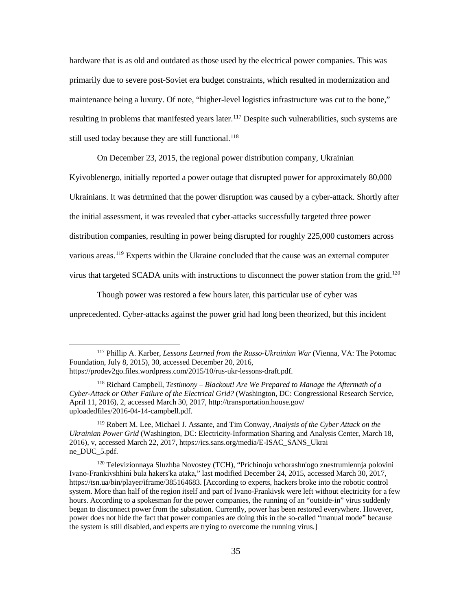during this conflict. Russia's use of cyber capabilities in coordination with conventional military attacks, but with limited success.[114](#page-43-0) Within the cyber domain, Russia clearly outmatched Georgia means is in line with concepts within RNGW in that conflict is changed "from war in the physical environment to a war in the human consciousness and in cyberspace."<sup>115</sup>

 conventional military forces, has direct implications for US military JIT logistics. Critical to the function of network-centric logistics, Russia specifically targeted and successfully disrupted Georgia's government and financial networks during this conflict. What is known is that Russia "prepositioned logistics in Abkhazia; and built a railroad there to connect it to its own military and logistic bases."<sup>116</sup> Whether Russia prestaged its equipment as standard practice, or as a means to mitigate risk in anticipation of Georgian cyber-attacks against their military networks, is debatable. However, the lesson is clear that Russia was prepared well in advance of the onset of the armed The fact that Russia fully integrates and synchronizes its cyber capabilities with its conflict.

## Russian Military Intervention in the Ukraine

 forces. Similar to Estonia and Georgia, the doctrine includes indirect methods such as subversion and propaganda messaging through the use of cyber capabilities against the government, military, industry, and the local population. However, what makes the application of RNGW doctrine The implication is that risk to the US power grid infrastructure is no longer in the realm of theory, but is now a reality. Furthermore, many of the legacy military logistics systems use software and The application of RNGW doctrine within the Ukraine is an ongoing activity by Russian unique to the Ukraine is the use of cyber capabilities to shut down part of the national power grid.

<u>.</u>

<span id="page-43-2"></span><span id="page-43-1"></span><span id="page-43-0"></span><sup>114</sup> Gregg Keizer, "Russian Hacker 'Militia' Mobilizes to Attack Georgia," *Network World*, last modified August 12, 2008, accessed March 19, 2017, http://www.networkworld.com/article/2274800/ lan-wan/russian-hacker--militia--mobilizes-to-attack-georgia.html.

<sup>&</sup>lt;sup>115</sup> Bērziņš, "The New Generation of Russian Warfare."

<sup>116</sup> Starr and Cornell, 117-118.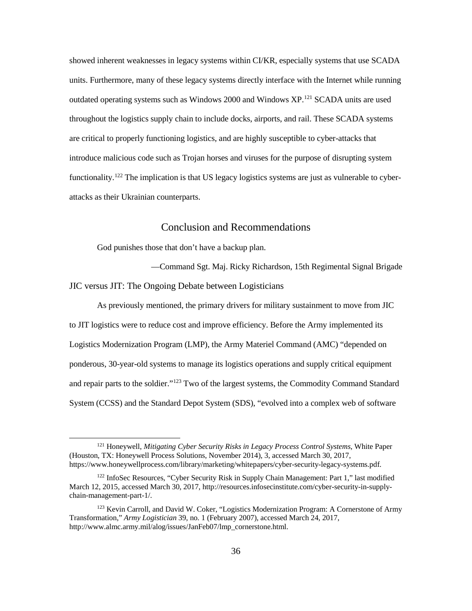hardware that is as old and outdated as those used by the electrical power companies. This was maintenance being a luxury. Of note, "higher-level logistics infrastructure was cut to the bone," resulting in problems that manifested years later.<sup>[117](#page-44-0)</sup> Despite such vulnerabilities, such systems are primarily due to severe post-Soviet era budget constraints, which resulted in modernization and still used today because they are still functional.<sup>118</sup>

On December 23, 2015, the regional power distribution company, Ukrainian

 Ukrainians. It was detrmined that the power disruption was caused by a cyber-attack. Shortly after distribution companies, resulting in power being disrupted for roughly 225,000 customers across Kyivoblenergo, initially reported a power outage that disrupted power for approximately 80,000 the initial assessment, it was revealed that cyber-attacks successfully targeted three power various areas.<sup>119</sup> Experts within the Ukraine concluded that the cause was an external computer virus that targeted SCADA units with instructions to disconnect the power station from the grid.<sup>[120](#page-44-3)</sup>

Though power was restored a few hours later, this particular use of cyber was unprecedented. Cyber-attacks against the power grid had long been theorized, but this incident

<u>.</u>

<span id="page-44-0"></span> Foundation, July 8, 2015), 30, accessed December 20, 2016, 117 Phillip A. Karber, *Lessons Learned from the Russo-Ukrainian War* (Vienna, VA: The Potomac https://prodev2go.files.wordpress.com/2015/10/rus-ukr-lessons-draft.pdf.

<span id="page-44-1"></span><sup>&</sup>lt;sup>118</sup> Richard Campbell, *Testimony – Blackout! Are We Prepared to Manage the Aftermath of a Cyber-Attack or Other Failure of the Electrical Grid?* (Washington, DC: Congressional Research Service, April 11, 2016), 2, accessed March 30, 2017, http://transportation.house.gov/ uploadedfiles/2016-04-14-campbell.pdf.

<span id="page-44-2"></span> 119 Robert M. Lee, Michael J. Assante, and Tim Conway, *Analysis of the Cyber Attack on the Ukrainian Power Grid* (Washington, DC: Electricity-Information Sharing and Analysis Center, March 18, 2016), v, accessed March 22, 2017, https://ics.sans.org/media/E-ISAC\_SANS\_Ukrai ne\_DUC\_5.pdf.

<span id="page-44-3"></span> Іvano-Frankіvshhini bula hakers'ka ataka," last modified December 24, 2015, accessed March 30, 2017, system. More than half of the region itself and part of Ivano-Frankivsk were left without electricity for a few hours. According to a spokesman for the power companies, the running of an "outside-in" virus suddenly power does not hide the fact that power companies are doing this in the so-called "manual mode" because the system is still disabled, and experts are trying to overcome the running virus.] 120 Televizionnaya Sluzhba Novostey (TCH), "Prichinoju vchorashn'ogo znestrumlennja polovini https://tsn.ua/bin/player/iframe/385164683. [According to experts, hackers broke into the robotic control began to disconnect power from the substation. Currently, power has been restored everywhere. However,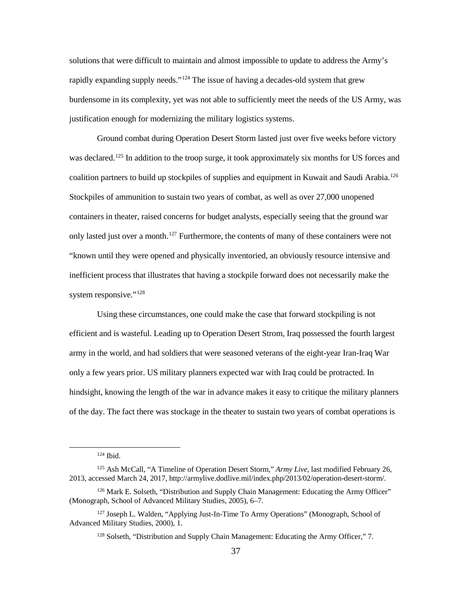showed inherent weaknesses in legacy systems within CI/KR, especially systems that use SCADA units. Furthermore, many of these legacy systems directly interface with the Internet while running outdated operating systems such as Windows 2000 and Windows  $XP^{121}$  $XP^{121}$  $XP^{121}$  SCADA units are used throughout the logistics supply chain to include docks, airports, and rail. These SCADA systems are critical to properly functioning logistics, and are highly susceptible to cyber-attacks that introduce malicious code such as Trojan horses and viruses for the purpose of disrupting system functionality.<sup>[122](#page-45-1)</sup> The implication is that US legacy logistics systems are just as vulnerable to cyberattacks as their Ukrainian counterparts.

## Conclusion and Recommendations

God punishes those that don't have a backup plan.

—Command Sgt. Maj. Ricky Richardson, 15th Regimental Signal Brigade

### JIC versus JIT: The Ongoing Debate between Logisticians

-

 to JIT logistics were to reduce cost and improve efficiency. Before the Army implemented its System (CCSS) and the Standard Depot System (SDS), "evolved into a complex web of software As previously mentioned, the primary drivers for military sustainment to move from JIC Logistics Modernization Program (LMP), the Army Materiel Command (AMC) "depended on ponderous, 30-year-old systems to manage its logistics operations and supply critical equipment and repair parts to the soldier."[123](#page-45-2) Two of the largest systems, the Commodity Command Standard

<span id="page-45-0"></span><sup>121</sup> Honeywell, *Mitigating Cyber Security Risks in Legacy Process Control Systems*, White Paper (Houston, TX: Honeywell Process Solutions, November 2014), 3, accessed March 30, 2017, https://www.honeywellprocess.com/library/marketing/whitepapers/cyber-security-legacy-systems.pdf.

<span id="page-45-1"></span><sup>&</sup>lt;sup>122</sup> InfoSec Resources, "Cyber Security Risk in Supply Chain Management: Part 1," last modified March 12, 2015, accessed March 30, 2017, http://resources.infosecinstitute.com/cyber-security-in-supplychain-management-part-1/.

<span id="page-45-2"></span><sup>&</sup>lt;sup>123</sup> Kevin Carroll, and David W. Coker, "Logistics Modernization Program: A Cornerstone of Army Transformation," *Army Logistician* 39, no. 1 (February 2007), accessed March 24, 2017, http://www.almc.army.mil/alog/issues/JanFeb07/lmp\_cornerstone.html.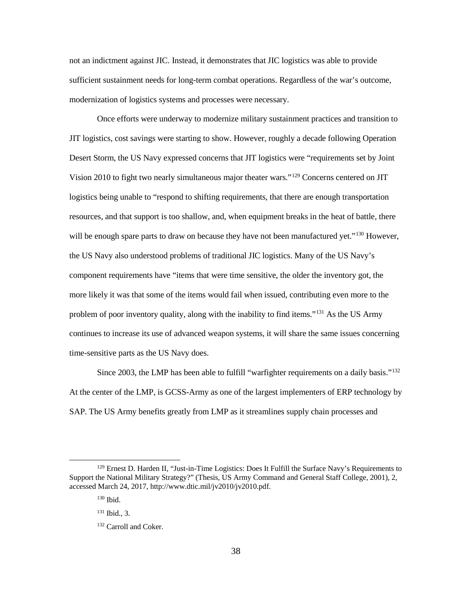solutions that were difficult to maintain and almost impossible to update to address the Army's rapidly expanding supply needs."<sup>124</sup> The issue of having a decades-old system that grew burdensome in its complexity, yet was not able to sufficiently meet the needs of the US Army, was justification enough for modernizing the military logistics systems.

 Ground combat during Operation Desert Storm lasted just over five weeks before victory was declared.<sup>[125](#page-46-1)</sup> In addition to the troop surge, it took approximately six months for US forces and only lasted just over a month.<sup>127</sup> Furthermore, the contents of many of these containers were not coalition partners to build up stockpiles of supplies and equipment in Kuwait and Saudi Arabia.<sup>126</sup> Stockpiles of ammunition to sustain two years of combat, as well as over 27,000 unopened containers in theater, raised concerns for budget analysts, especially seeing that the ground war "known until they were opened and physically inventoried, an obviously resource intensive and inefficient process that illustrates that having a stockpile forward does not necessarily make the system responsive."<sup>[128](#page-46-4)</sup>

 efficient and is wasteful. Leading up to Operation Desert Strom, Iraq possessed the fourth largest only a few years prior. US military planners expected war with Iraq could be protracted. In hindsight, knowing the length of the war in advance makes it easy to critique the military planners of the day. The fact there was stockage in the theater to sustain two years of combat operations is Using these circumstances, one could make the case that forward stockpiling is not army in the world, and had soldiers that were seasoned veterans of the eight-year Iran-Iraq War

<span id="page-46-0"></span><u>.</u>

 124 Ibid.

<span id="page-46-1"></span> 125 Ash McCall, "A Timeline of Operation Desert Storm," *Army Live*, last modified February 26, 2013, accessed March 24, 2017, http://armylive.dodlive.mil/index.php/2013/02/operation-desert-storm/.

<span id="page-46-2"></span><sup>&</sup>lt;sup>126</sup> Mark E. Solseth, "Distribution and Supply Chain Management: Educating the Army Officer" (Monograph, School of Advanced Military Studies, 2005), 6–7.

<span id="page-46-4"></span><span id="page-46-3"></span><sup>&</sup>lt;sup>127</sup> Joseph L. Walden, "Applying Just-In-Time To Army Operations" (Monograph, School of Advanced Military Studies, 2000), 1.

<sup>128</sup> Solseth, "Distribution and Supply Chain Management: Educating the Army Officer," 7.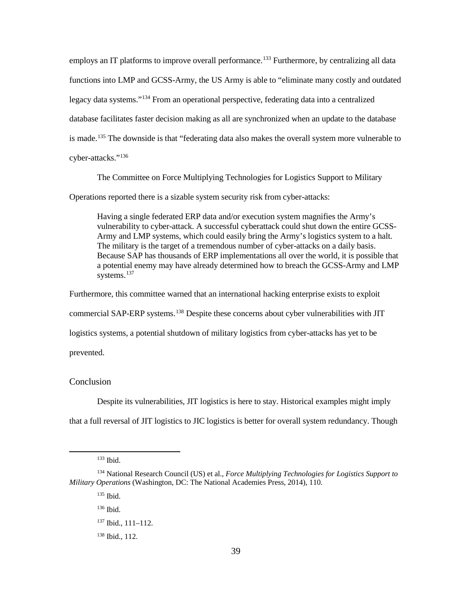not an indictment against JIC. Instead, it demonstrates that JIC logistics was able to provide sufficient sustainment needs for long-term combat operations. Regardless of the war's outcome, modernization of logistics systems and processes were necessary.

 Once efforts were underway to modernize military sustainment practices and transition to Desert Storm, the US Navy expressed concerns that JIT logistics were "requirements set by Joint logistics being unable to "respond to shifting requirements, that there are enough transportation the US Navy also understood problems of traditional JIC logistics. Many of the US Navy's component requirements have "items that were time sensitive, the older the inventory got, the problem of poor inventory quality, along with the inability to find items."<sup>131</sup> As the US Army time-sensitive parts as the US Navy does. JIT logistics, cost savings were starting to show. However, roughly a decade following Operation Vision 2010 to fight two nearly simultaneous major theater wars."[129](#page-47-0) Concerns centered on JIT resources, and that support is too shallow, and, when equipment breaks in the heat of battle, there will be enough spare parts to draw on because they have not been manufactured yet."<sup>[130](#page-47-1)</sup> However, more likely it was that some of the items would fail when issued, contributing even more to the continues to increase its use of advanced weapon systems, it will share the same issues concerning

Since 2003, the LMP has been able to fulfill "warfighter requirements on a daily basis."<sup>[132](#page-47-3)</sup> At the center of the LMP, is GCSS-Army as one of the largest implementers of ERP technology by SAP. The US Army benefits greatly from LMP as it streamlines supply chain processes and

 $\overline{a}$ 

<span id="page-47-3"></span><span id="page-47-2"></span><span id="page-47-1"></span><span id="page-47-0"></span><sup>&</sup>lt;sup>129</sup> Ernest D. Harden II, "Just-in-Time Logistics: Does It Fulfill the Surface Navy's Requirements to Support the National Military Strategy?" (Thesis, US Army Command and General Staff College, 2001), 2, accessed March 24, 2017, http://www.dtic.mil/jv2010/jv2010.pdf.

 130 Ibid.

 131 Ibid., 3.

<sup>&</sup>lt;sup>132</sup> Carroll and Coker.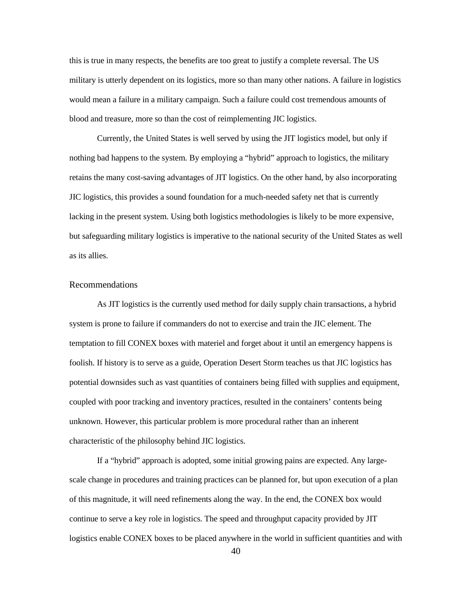employs an IT platforms to improve overall performance.<sup>133</sup> Furthermore, by centralizing all data is made.<sup>[135](#page-48-2)</sup> The downside is that "federating data also makes the overall system more vulnerable to functions into LMP and GCSS-Army, the US Army is able to "eliminate many costly and outdated legacy data systems.["134](#page-48-1) From an operational perspective, federating data into a centralized database facilitates faster decision making as all are synchronized when an update to the database cyber-attacks."[136](#page-48-3)

The Committee on Force Multiplying Technologies for Logistics Support to Military

Operations reported there is a sizable system security risk from cyber-attacks:

 Having a single federated ERP data and/or execution system magnifies the Army's Because SAP has thousands of ERP implementations all over the world, it is possible that a potential enemy may have already determined how to breach the GCSS-Army and LMP vulnerability to cyber-attack. A successful cyberattack could shut down the entire GCSS-Army and LMP systems, which could easily bring the Army's logistics system to a halt. The military is the target of a tremendous number of cyber-attacks on a daily basis. systems.<sup>[137](#page-48-4)</sup>

Furthermore, this committee warned that an international hacking enterprise exists to exploit

commercial SAP-ERP systems.<sup>138</sup> Despite these concerns about cyber vulnerabilities with JIT

logistics systems, a potential shutdown of military logistics from cyber-attacks has yet to be

prevented.

### Conclusion

<span id="page-48-0"></span> $\ddot{\phantom{a}}$ 

Despite its vulnerabilities, JIT logistics is here to stay. Historical examples might imply

that a full reversal of JIT logistics to JIC logistics is better for overall system redundancy. Though

 133 Ibid.

<span id="page-48-5"></span><span id="page-48-4"></span><span id="page-48-3"></span><span id="page-48-2"></span><span id="page-48-1"></span> 134 National Research Council (US) et al., *Force Multiplying Technologies for Logistics Support to Military Operations* (Washington, DC: The National Academies Press, 2014), 110.

 135 Ibid.

 136 Ibid.

<sup>137</sup> Ibid., 111–112.

 138 Ibid., 112.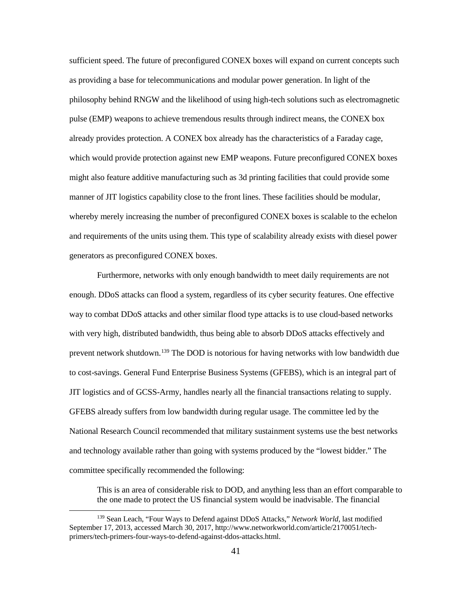this is true in many respects, the benefits are too great to justify a complete reversal. The US would mean a failure in a military campaign. Such a failure could cost tremendous amounts of military is utterly dependent on its logistics, more so than many other nations. A failure in logistics blood and treasure, more so than the cost of reimplementing JIC logistics.

 Currently, the United States is well served by using the JIT logistics model, but only if lacking in the present system. Using both logistics methodologies is likely to be more expensive, nothing bad happens to the system. By employing a "hybrid" approach to logistics, the military retains the many cost-saving advantages of JIT logistics. On the other hand, by also incorporating JIC logistics, this provides a sound foundation for a much-needed safety net that is currently but safeguarding military logistics is imperative to the national security of the United States as well as its allies.

### Recommendations

 As JIT logistics is the currently used method for daily supply chain transactions, a hybrid system is prone to failure if commanders do not to exercise and train the JIC element. The temptation to fill CONEX boxes with materiel and forget about it until an emergency happens is foolish. If history is to serve as a guide, Operation Desert Storm teaches us that JIC logistics has coupled with poor tracking and inventory practices, resulted in the containers' contents being potential downsides such as vast quantities of containers being filled with supplies and equipment, unknown. However, this particular problem is more procedural rather than an inherent characteristic of the philosophy behind JIC logistics.

 If a "hybrid" approach is adopted, some initial growing pains are expected. Any large- of this magnitude, it will need refinements along the way. In the end, the CONEX box would scale change in procedures and training practices can be planned for, but upon execution of a plan continue to serve a key role in logistics. The speed and throughput capacity provided by JIT logistics enable CONEX boxes to be placed anywhere in the world in sufficient quantities and with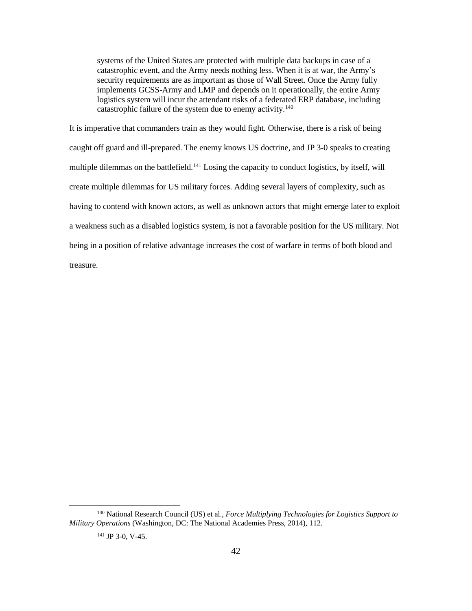as providing a base for telecommunications and modular power generation. In light of the which would provide protection against new EMP weapons. Future preconfigured CONEX boxes might also feature additive manufacturing such as 3d printing facilities that could provide some sufficient speed. The future of preconfigured CONEX boxes will expand on current concepts such philosophy behind RNGW and the likelihood of using high-tech solutions such as electromagnetic pulse (EMP) weapons to achieve tremendous results through indirect means, the CONEX box already provides protection. A CONEX box already has the characteristics of a Faraday cage, manner of JIT logistics capability close to the front lines. These facilities should be modular, whereby merely increasing the number of preconfigured CONEX boxes is scalable to the echelon and requirements of the units using them. This type of scalability already exists with diesel power generators as preconfigured CONEX boxes.

 enough. DDoS attacks can flood a system, regardless of its cyber security features. One effective with very high, distributed bandwidth, thus being able to absorb DDoS attacks effectively and to cost-savings. General Fund Enterprise Business Systems (GFEBS), which is an integral part of JIT logistics and of GCSS-Army, handles nearly all the financial transactions relating to supply. GFEBS already suffers from low bandwidth during regular usage. The committee led by the and technology available rather than going with systems produced by the "lowest bidder." The Furthermore, networks with only enough bandwidth to meet daily requirements are not way to combat DDoS attacks and other similar flood type attacks is to use cloud-based networks prevent network shutdown.[139](#page-50-0) The DOD is notorious for having networks with low bandwidth due National Research Council recommended that military sustainment systems use the best networks committee specifically recommended the following:

 the one made to protect the US financial system would be inadvisable. The financial This is an area of considerable risk to DOD, and anything less than an effort comparable to

-

<span id="page-50-0"></span> September 17, 2013, accessed March 30, 2017, http://www.networkworld.com/article/2170051/tech-139 Sean Leach, "Four Ways to Defend against DDoS Attacks," *Network World*, last modified primers/tech-primers-four-ways-to-defend-against-ddos-attacks.html.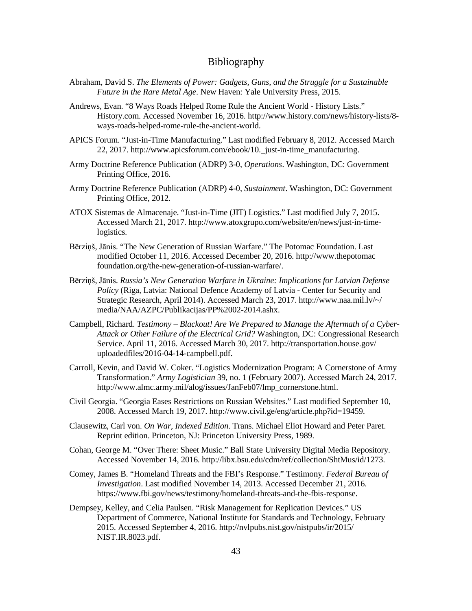systems of the United States are protected with multiple data backups in case of a catastrophic event, and the Army needs nothing less. When it is at war, the Army's implements GCSS-Army and LMP and depends on it operationally, the entire Army security requirements are as important as those of Wall Street. Once the Army fully logistics system will incur the attendant risks of a federated ERP database, including catastrophic failure of the system due to enemy activity.<sup>140</sup>

 caught off guard and ill-prepared. The enemy knows US doctrine, and JP 3-0 speaks to creating multiple dilemmas on the battlefield.<sup>[141](#page-51-1)</sup> Losing the capacity to conduct logistics, by itself, will create multiple dilemmas for US military forces. Adding several layers of complexity, such as having to contend with known actors, as well as unknown actors that might emerge later to exploit a weakness such as a disabled logistics system, is not a favorable position for the US military. Not It is imperative that commanders train as they would fight. Otherwise, there is a risk of being being in a position of relative advantage increases the cost of warfare in terms of both blood and treasure.

-

<span id="page-51-1"></span><span id="page-51-0"></span> 140 National Research Council (US) et al., *Force Multiplying Technologies for Logistics Support to Military Operations* (Washington, DC: The National Academies Press, 2014), 112.

 $141$  JP 3-0, V-45.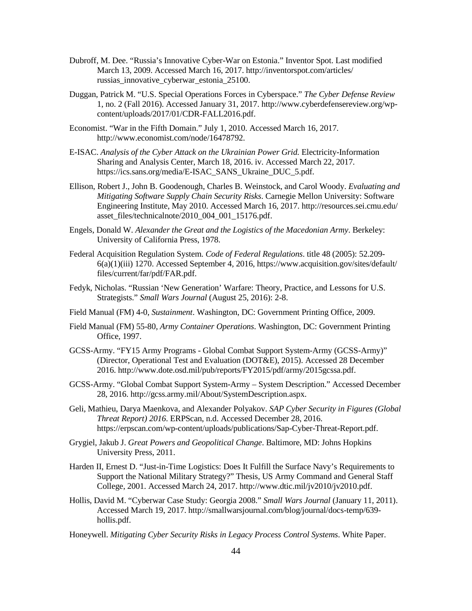## Bibliography

- *Future in the Rare Metal Age*. New Haven: Yale University Press, 2015. Abraham, David S. *The Elements of Power: Gadgets, Guns, and the Struggle for a Sustainable*
- Andrews, Evan. "8 Ways Roads Helped Rome Rule the Ancient World History Lists." History.com. Accessed November 16, 2016. http://www.history.com/news/history-lists/8 ways-roads-helped-rome-rule-the-ancient-world.
- APICS Forum. "Just-in-Time Manufacturing." Last modified February 8, 2012. Accessed March 22, 2017. http://www.apicsforum.com/ebook/10.\_just-in-time\_manufacturing.
- Army Doctrine Reference Publication (ADRP) 3-0, *Operations*. Washington, DC: Government Printing Office, 2016.
- Army Doctrine Reference Publication (ADRP) 4-0, *Sustainment*. Washington, DC: Government Printing Office, 2012.
- ATOX Sistemas de Almacenaje. "Just-in-Time (JIT) Logistics." Last modified July 7, 2015. Accessed March 21, 2017. http://www.atoxgrupo.com/website/en/news/just-in-timelogistics.
- Bērziņš, Jānis. "The New Generation of Russian Warfare." The Potomac Foundation. Last modified October 11, 2016. Accessed December 20, 2016. http://www.thepotomac foundation.org/the-new-generation-of-russian-warfare/.
- Bērziņš, Jānis. *Russia's New Generation Warfare in Ukraine: Implications for Latvian Defense Policy* (Riga, Latvia: National Defence Academy of Latvia - Center for Security and Strategic Research, April 2014). Accessed March 23, 2017. http://www.naa.mil.lv/~/ media/NAA/AZPC/Publikacijas/PP%2002-2014.ashx.
- Campbell, Richard. *Testimony Blackout! Are We Prepared to Manage the Aftermath of a Cyber- Attack or Other Failure of the Electrical Grid?* Washington, DC: Congressional Research Service. April 11, 2016. Accessed March 30, 2017. http://transportation.house.gov/ uploadedfiles/2016-04-14-campbell.pdf.
- Carroll, Kevin, and David W. Coker. "Logistics Modernization Program: A Cornerstone of Army Transformation." *Army Logistician* 39, no. 1 (February 2007). Accessed March 24, 2017. http://www.almc.army.mil/alog/issues/JanFeb07/lmp\_cornerstone.html.
- Civil Georgia. "Georgia Eases Restrictions on Russian Websites." Last modified September 10, 2008. Accessed March 19, 2017. http://www.civil.ge/eng/article.php?id=19459.
- Clausewitz, Carl von. *On War, Indexed Edition*. Trans. Michael Eliot Howard and Peter Paret. Reprint edition. Princeton, NJ: Princeton University Press, 1989.
- Cohan, George M. "Over There: Sheet Music." Ball State University Digital Media Repository. Accessed November 14, 2016. http://libx.bsu.edu/cdm/ref/collection/ShtMus/id/1273.
- Comey, James B. "Homeland Threats and the FBI's Response." Testimony. *Federal Bureau of Investigation*. Last modified November 14, 2013. Accessed December 21, 2016. https://www.fbi.gov/news/testimony/homeland-threats-and-the-fbis-response.
- Dempsey, Kelley, and Celia Paulsen. "Risk Management for Replication Devices." US Department of Commerce, National Institute for Standards and Technology, February 2015. Accessed September 4, 2016. http://nvlpubs.nist.gov/nistpubs/ir/2015/ NIST.IR.8023.pdf.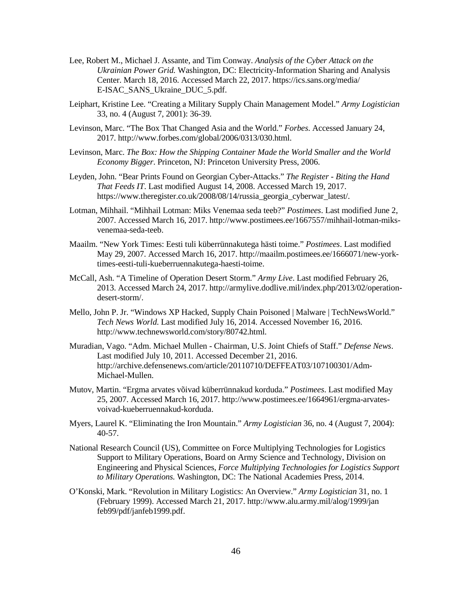Houston, TX: Honeywell Process Solutions. November 2014. Accessed March 30, 2017. https://www.honeywellprocess.com/library/marketing/whitepapers/cyber-security-legacysystems.pdf.

- Hugos, Michael H. "Alexander the Great Needed Great Supply Chains." March 17, 2014. Accessed March 21, 2017. http://blog.scmglobe.com/?p=385.
- InfoSec Resources. "Cyber Security Risk in Supply Chain Management: Part 1." Last modified March 12, 2015. Accessed March 30, 2017. http://resources.infosecinstitute.com/cybersecurity-in-supply-chain-management-part-1/.
- Investopedia. "Holding Costs." Accessed October 13, 2016. http://www.investopedia. com/terms/h/holding-costs.asp.
- Investopedia. "Just in Case." Accessed November 16, 2016. http://www.investopedia.com/ terms/j/jic.asp.
- Investopedia. "Just In Time JIT." Last modified November 23, 2003. Accessed March 21, 2017. http://www.investopedia.com/terms/j/jit.asp.
- Joint Publication 3-0, *Joint Operations*. Washington, DC: Government Printing Office, 2011.
- Joint Publication 3-12R, *Cyberspace Operations*. Washington, DC: Government Printing Office, 2013.
- Joint Publication 3-17, *Air Mobility Operations*. Washington, DC: Government Printing Office, 2013.
- Joint Publication 3-24, *Counterinsurgency.* Washington, DC: Government Printing Office, 2013.
- Joint Publication 4-0, *Joint Logistics*. Washington, DC: Government Printing Office, 2013.
- Joint Publication 4-01, *The Defense Transportation System*. Washington, DC: Government Printing Office, 2013.
- Kakaes, Konstantin. "Making iPhones in the U.S. Might Not Cost as Much as You'd Think." *MIT Technology Review*. Accessed December 1, 2016. https://www.technologyreview.com/s/601491/the-all-american-iphone/.
- Karber, Phillip A. "Russia's 'New Generation Warfare.'" National Geospatial-Intelligence Agency. Last modified June 4, 2015. Accessed March 23, 2017. https://www.nga.mil/ MediaRoom/News/Pages/Russia's-'New-Generation-Warfare'.aspx.
- Karber, Phillip A. *Lessons Learned from the Russo-Ukrainian War*. Vienna, VA: The Potomac Foundation. July 8, 2015. Accessed December 20, 2016. https://prodev2go.files.wordpress.com/2015/10/rus-ukr-lessons-draft.pdf.
- Keizer, Gregg. "Russian Hacker 'Militia' Mobilizes to Attack Georgia." Network World. Last modified August 12, 2008. Accessed March 19, 2017. http://www.networkworld.com/ article/2274800/lan-wan/russian-hacker--militia--mobilizes-to-attack-georgia.html.
- Koerner, Brendan I. "Inside the OPM Hack, the Cyberattack That Shocked the US Government." *Wired Magazine*. Last modified October 23, 2016. Accessed December 28, 2016. https://www.wired.com/2016/10/inside-cyberattack-shocked-us-government/.
- Leach, Sean. "Four Ways to Defend Against DDoS Attacks." Network World. Last modified September 17, 2013. Accessed March 30, 2017. http://www.networkworld.com/ article/2170051/tech-primers/tech-primers-four-ways-to-defend-against-ddos-attacks.html.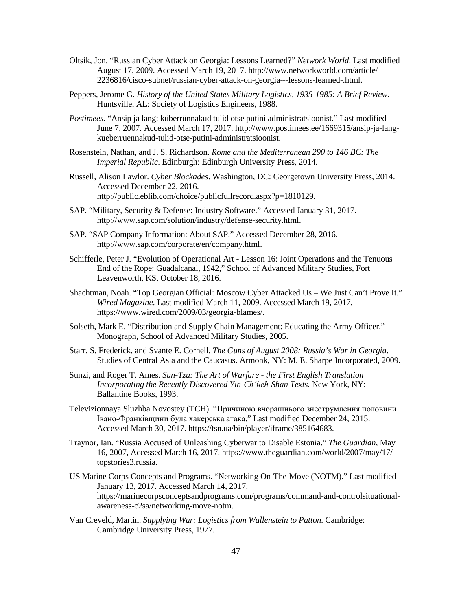- Lee, Robert M., Michael J. Assante, and Tim Conway. *Analysis of the Cyber Attack on the Ukrainian Power Grid.* Washington, DC: Electricity-Information Sharing and Analysis Center. March 18, 2016. Accessed March 22, 2017. https://ics.sans.org/media/ E-ISAC\_SANS\_Ukraine\_DUC\_5.pdf.
- Leiphart, Kristine Lee. "Creating a Military Supply Chain Management Model." *Army Logistician*  33, no. 4 (August 7, 2001): 36-39.
- Levinson, Marc. "The Box That Changed Asia and the World." *Forbes*. Accessed January 24, 2017. http://www.forbes.com/global/2006/0313/030.html.
- Levinson, Marc. *The Box: How the Shipping Container Made the World Smaller and the World Economy Bigger*. Princeton, NJ: Princeton University Press, 2006.
- Leyden, John. "Bear Prints Found on Georgian Cyber-Attacks." *The Register - Biting the Hand That Feeds IT*. Last modified August 14, 2008. Accessed March 19, 2017. https://www.theregister.co.uk/2008/08/14/russia\_georgia\_cyberwar\_latest/.
- Lotman, Mihhail. "Mihhail Lotman: Miks Venemaa seda teeb?" *Postimees*. Last modified June 2, 2007. Accessed March 16, 2017. http://www.postimees.ee/1667557/mihhail-lotman-miksvenemaa-seda-teeb.
- Maailm. "New York Times: Eesti tuli küberrünnakutega hästi toime." *Postimees*. Last modified May 29, 2007. Accessed March 16, 2017. http://maailm.postimees.ee/1666071/new-yorktimes-eesti-tuli-kueberruennakutega-haesti-toime.
- McCall, Ash. "A Timeline of Operation Desert Storm." *Army Live*. Last modified February 26, 2013. Accessed March 24, 2017. http://armylive.dodlive.mil/index.php/2013/02/operationdesert-storm/.
- Mello, John P. Jr. "Windows XP Hacked, Supply Chain Poisoned | Malware | TechNewsWorld." *Tech News World*. Last modified July 16, 2014. Accessed November 16, 2016. http://www.technewsworld.com/story/80742.html.
- Muradian, Vago. "Adm. Michael Mullen Chairman, U.S. Joint Chiefs of Staff." *Defense News*. Last modified July 10, 2011. Accessed December 21, 2016. http://archive.defensenews.com/article/20110710/DEFFEAT03/107100301/Adm-Michael-Mullen.
- Mutov, Martin. "Ergma arvates võivad küberrünnakud korduda." *Postimees*. Last modified May 25, 2007. Accessed March 16, 2017. http://www.postimees.ee/1664961/ergma-arvatesvoivad-kueberruennakud-korduda.
- Myers, Laurel K. "Eliminating the Iron Mountain." *Army Logistician* 36, no. 4 (August 7, 2004): 40-57.
- National Research Council (US), Committee on Force Multiplying Technologies for Logistics Support to Military Operations, Board on Army Science and Technology, Division on Engineering and Physical Sciences, *Force Multiplying Technologies for Logistics Support to Military Operations.* Washington, DC: The National Academies Press, 2014.
- O'Konski, Mark. "Revolution in Military Logistics: An Overview." *Army Logistician* 31, no. 1 (February 1999). Accessed March 21, 2017. http://www.alu.army.mil/alog/1999/jan feb99/pdf/janfeb1999.pdf.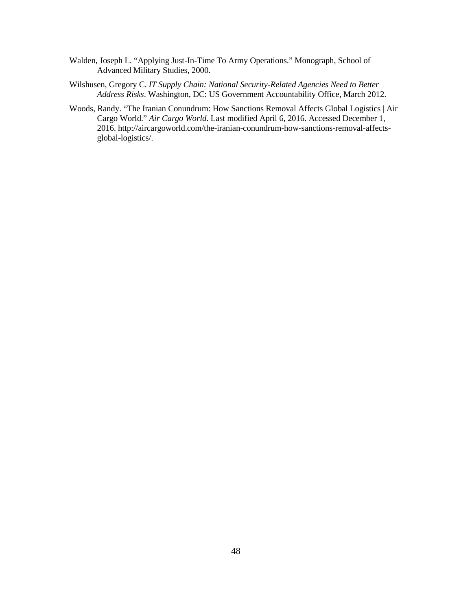- Oltsik, Jon. "Russian Cyber Attack on Georgia: Lessons Learned?" *Network World*. Last modified August 17, 2009. Accessed March 19, 2017. http://www.networkworld.com/article/ 2236816/cisco-subnet/russian-cyber-attack-on-georgia---lessons-learned-.html.
- Peppers, Jerome G. *History of the United States Military Logistics, 1935-1985: A Brief Review*. Huntsville, AL: Society of Logistics Engineers, 1988.
- *Postimees*. "Ansip ja lang: küberrünnakud tulid otse putini administratsioonist." Last modified June 7, 2007. Accessed March 17, 2017. http://www.postimees.ee/1669315/ansip-ja-langkueberruennakud-tulid-otse-putini-administratsioonist.
- Rosenstein, Nathan, and J. S. Richardson. *Rome and the Mediterranean 290 to 146 BC: The Imperial Republic*. Edinburgh: Edinburgh University Press, 2014.
- Accessed December 22, 2016. Russell, Alison Lawlor. *Cyber Blockades*. Washington, DC: Georgetown University Press, 2014. http://public.eblib.com/choice/publicfullrecord.aspx?p=1810129.
- SAP. "Military, Security & Defense: Industry Software." Accessed January 31, 2017. http://www.sap.com/solution/industry/defense-security.html.
- SAP. "SAP Company Information: About SAP." Accessed December 28, 2016. http://www.sap.com/corporate/en/company.html.
- Schifferle, Peter J. "Evolution of Operational Art Lesson 16: Joint Operations and the Tenuous End of the Rope: Guadalcanal, 1942," School of Advanced Military Studies, Fort Leavenworth, KS, October 18, 2016.
- Shachtman, Noah. "Top Georgian Official: Moscow Cyber Attacked Us We Just Can't Prove It." *Wired Magazine*. Last modified March 11, 2009. Accessed March 19, 2017. https://www.wired.com/2009/03/georgia-blames/.
- Solseth, Mark E. "Distribution and Supply Chain Management: Educating the Army Officer." Monograph, School of Advanced Military Studies, 2005.
- Starr, S. Frederick, and Svante E. Cornell. *The Guns of August 2008: Russia's War in Georgia*. Studies of Central Asia and the Caucasus. Armonk, NY: M. E. Sharpe Incorporated, 2009.
- Sunzi, and Roger T. Ames. *Sun-Tzu: The Art of Warfare - the First English Translation Incorporating the Recently Discovered Yin-Chʻüeh-Shan Texts.* New York, NY: Ballantine Books, 1993.
- Televizionnaya Sluzhba Novostey (TCH). "Причиною вчорашнього знеструмлення половини Івано-Франківщини була хакерська атака." Last modified December 24, 2015. Accessed March 30, 2017. https://tsn.ua/bin/player/iframe/385164683.
- Traynor, Ian. "Russia Accused of Unleashing Cyberwar to Disable Estonia." *The Guardian*, May 16, 2007, Accessed March 16, 2017. https://www.theguardian.com/world/2007/may/17/ topstories3.russia.
- US Marine Corps Concepts and Programs. "Networking On-The-Move (NOTM)." Last modified January 13, 2017. Accessed March 14, 2017. https://marinecorpsconceptsandprograms.com/programs/command-and-controlsituationalawareness-c2sa/networking-move-notm.
- Van Creveld, Martin. *Supplying War: Logistics from Wallenstein to Patton*. Cambridge: Cambridge University Press, 1977.